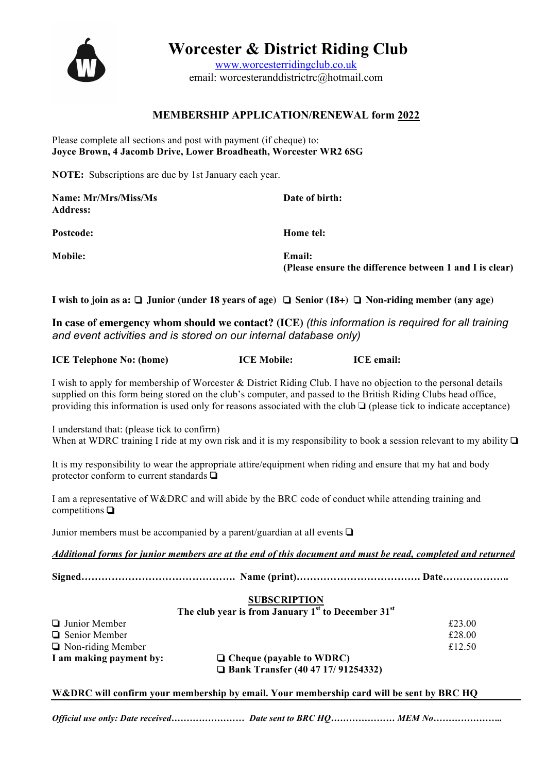

 **Worcester & District Riding Club**

www.worcesterridingclub.co.uk email: worcesteranddistrictrc@hotmail.com

#### **MEMBERSHIP APPLICATION/RENEWAL form 2022**

Please complete all sections and post with payment (if cheque) to: **Joyce Brown, 4 Jacomb Drive, Lower Broadheath, Worcester WR2 6SG**

**NOTE:** Subscriptions are due by 1st January each year.

| Name: Mr/Mrs/Miss/Ms<br><b>Address:</b> | Date of birth:                                                    |
|-----------------------------------------|-------------------------------------------------------------------|
| <b>Postcode:</b>                        | Home tel:                                                         |
| <b>Mobile:</b>                          | Email:<br>(Please ensure the difference between 1 and I is clear) |

**I wish to join as a:** ❏ **Junior (under 18 years of age)** ❏ **Senior (18+)** ❏ **Non-riding member (any age)**

**In case of emergency whom should we contact? (ICE)** *(this information is required for all training and event activities and is stored on our internal database only)* 

| <b>ICE Telephone No: (home)</b><br><b>ICE Mobile:</b> | <b>ICE</b> email: |
|-------------------------------------------------------|-------------------|
|-------------------------------------------------------|-------------------|

I wish to apply for membership of Worcester & District Riding Club. I have no objection to the personal details supplied on this form being stored on the club's computer, and passed to the British Riding Clubs head office, providing this information is used only for reasons associated with the club ❏ (please tick to indicate acceptance)

I understand that: (please tick to confirm) When at WDRC training I ride at my own risk and it is my responsibility to book a session relevant to my ability **□** 

It is my responsibility to wear the appropriate attire/equipment when riding and ensure that my hat and body protector conform to current standards ❏

I am a representative of W&DRC and will abide by the BRC code of conduct while attending training and competitions ❏

Junior members must be accompanied by a parent/guardian at all events ❏

*Additional forms for junior members are at the end of this document and must be read, completed and returned*

**Signed………………………………………. Name (print)………………………………. Date………………..**

#### **SUBSCRIPTION**

**The club year is from January 1st to December 31st**

|                          | <b>Bank Transfer (40 47 17/ 91254332)</b> |        |
|--------------------------|-------------------------------------------|--------|
| I am making payment by:  | $\Box$ Cheque (payable to WDRC)           |        |
| $\Box$ Non-riding Member |                                           | £12.50 |
| $\Box$ Senior Member     |                                           | £28.00 |
| $\Box$ Junior Member     |                                           | £23.00 |

**W&DRC will confirm your membership by email. Your membership card will be sent by BRC HQ**

*Official use only: Date received…………………… Date sent to BRC HQ………………… MEM No…………………..*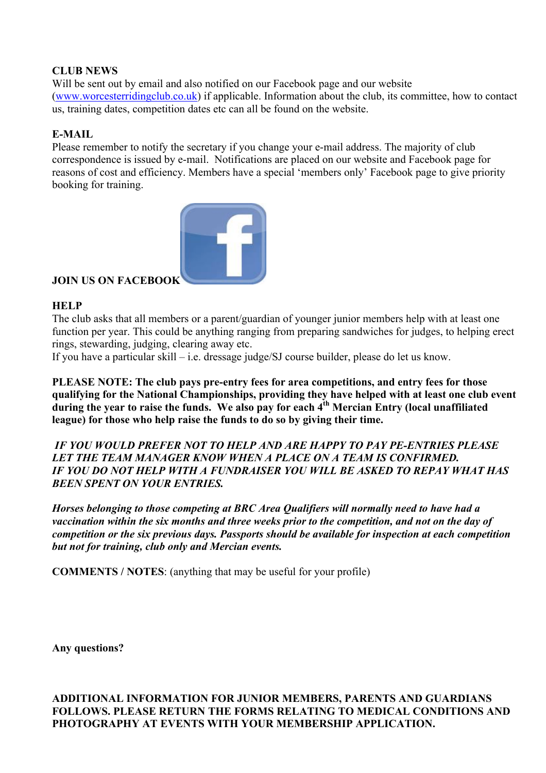#### **CLUB NEWS**

Will be sent out by email and also notified on our Facebook page and our website (www.worcesterridingclub.co.uk) if applicable. Information about the club, its committee, how to contact us, training dates, competition dates etc can all be found on the website.

#### **E-MAIL**

Please remember to notify the secretary if you change your e-mail address. The majority of club correspondence is issued by e-mail. Notifications are placed on our website and Facebook page for reasons of cost and efficiency. Members have a special 'members only' Facebook page to give priority booking for training.



#### **JOIN US ON FACEBOOK**

#### **HELP**

The club asks that all members or a parent/guardian of younger junior members help with at least one function per year. This could be anything ranging from preparing sandwiches for judges, to helping erect rings, stewarding, judging, clearing away etc.

If you have a particular skill – i.e. dressage judge/SJ course builder, please do let us know.

**PLEASE NOTE: The club pays pre-entry fees for area competitions, and entry fees for those qualifying for the National Championships, providing they have helped with at least one club event**  during the year to raise the funds. We also pay for each 4<sup>th</sup> Mercian Entry (local unaffiliated **league) for those who help raise the funds to do so by giving their time.**

 *IF YOU WOULD PREFER NOT TO HELP AND ARE HAPPY TO PAY PE-ENTRIES PLEASE LET THE TEAM MANAGER KNOW WHEN A PLACE ON A TEAM IS CONFIRMED. IF YOU DO NOT HELP WITH A FUNDRAISER YOU WILL BE ASKED TO REPAY WHAT HAS BEEN SPENT ON YOUR ENTRIES.*

*Horses belonging to those competing at BRC Area Qualifiers will normally need to have had a vaccination within the six months and three weeks prior to the competition, and not on the day of competition or the six previous days. Passports should be available for inspection at each competition but not for training, club only and Mercian events.*

**COMMENTS / NOTES**: (anything that may be useful for your profile)

**Any questions?** 

**ADDITIONAL INFORMATION FOR JUNIOR MEMBERS, PARENTS AND GUARDIANS FOLLOWS. PLEASE RETURN THE FORMS RELATING TO MEDICAL CONDITIONS AND PHOTOGRAPHY AT EVENTS WITH YOUR MEMBERSHIP APPLICATION.**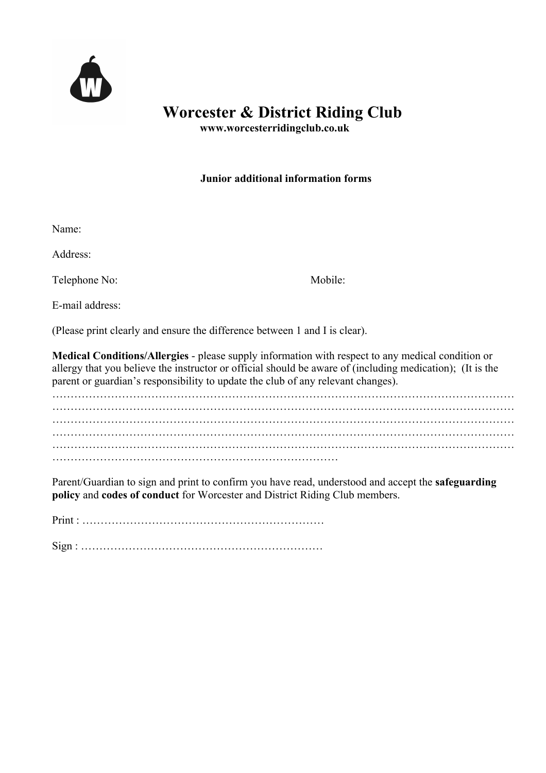

### **Worcester & District Riding Club**<br>www.worcesterridingclub.co.uk

#### **Junior additional information forms**

Name:

Address:

Telephone No: Mobile:

E-mail address:

(Please print clearly and ensure the difference between 1 and I is clear).

**Medical Conditions/Allergies** - please supply information with respect to any medical condition or allergy that you believe the instructor or official should be aware of (including medication); (It is the parent or guardian's responsibility to update the club of any relevant changes).

……………………………………………………………………………………………………………… ……………………………………………………………………………………………………………… ……………………………………………………………………………………………………………… ……………………………………………………………………………………………………………… ……………………………………………………………………

Parent/Guardian to sign and print to confirm you have read, understood and accept the **safeguarding policy** and **codes of conduct** for Worcester and District Riding Club members.

Print :

Sign : …………………………………………………………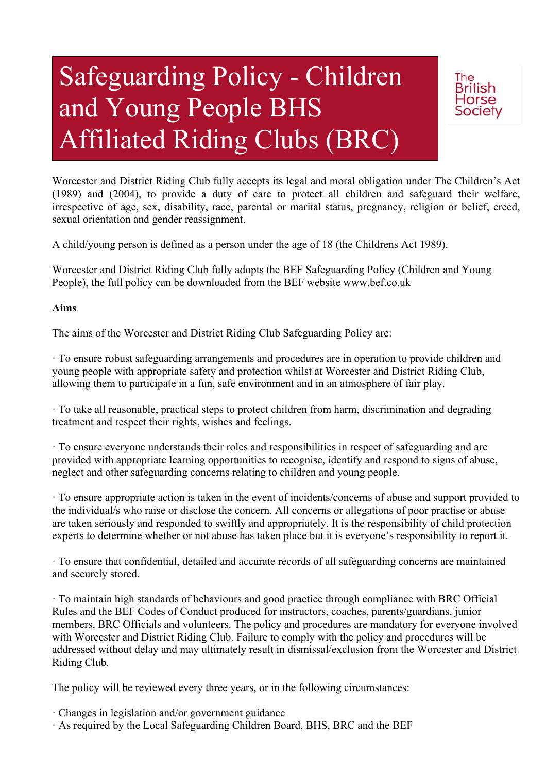# Safeguarding Policy - Children and Young People BHS Affiliated Riding Clubs (BRC)



Worcester and District Riding Club fully accepts its legal and moral obligation under The Children's Act (1989) and (2004), to provide a duty of care to protect all children and safeguard their welfare, irrespective of age, sex, disability, race, parental or marital status, pregnancy, religion or belief, creed, sexual orientation and gender reassignment.

A child/young person is defined as a person under the age of 18 (the Childrens Act 1989).

Worcester and District Riding Club fully adopts the BEF Safeguarding Policy (Children and Young People), the full policy can be downloaded from the BEF website www.bef.co.uk

#### **Aims**

The aims of the Worcester and District Riding Club Safeguarding Policy are:

· To ensure robust safeguarding arrangements and procedures are in operation to provide children and young people with appropriate safety and protection whilst at Worcester and District Riding Club, allowing them to participate in a fun, safe environment and in an atmosphere of fair play.

· To take all reasonable, practical steps to protect children from harm, discrimination and degrading treatment and respect their rights, wishes and feelings.

· To ensure everyone understands their roles and responsibilities in respect of safeguarding and are provided with appropriate learning opportunities to recognise, identify and respond to signs of abuse, neglect and other safeguarding concerns relating to children and young people.

· To ensure appropriate action is taken in the event of incidents/concerns of abuse and support provided to the individual/s who raise or disclose the concern. All concerns or allegations of poor practise or abuse are taken seriously and responded to swiftly and appropriately. It is the responsibility of child protection experts to determine whether or not abuse has taken place but it is everyone's responsibility to report it.

· To ensure that confidential, detailed and accurate records of all safeguarding concerns are maintained and securely stored.

· To maintain high standards of behaviours and good practice through compliance with BRC Official Rules and the BEF Codes of Conduct produced for instructors, coaches, parents/guardians, junior members, BRC Officials and volunteers. The policy and procedures are mandatory for everyone involved with Worcester and District Riding Club. Failure to comply with the policy and procedures will be addressed without delay and may ultimately result in dismissal/exclusion from the Worcester and District Riding Club.

The policy will be reviewed every three years, or in the following circumstances:

· Changes in legislation and/or government guidance

· As required by the Local Safeguarding Children Board, BHS, BRC and the BEF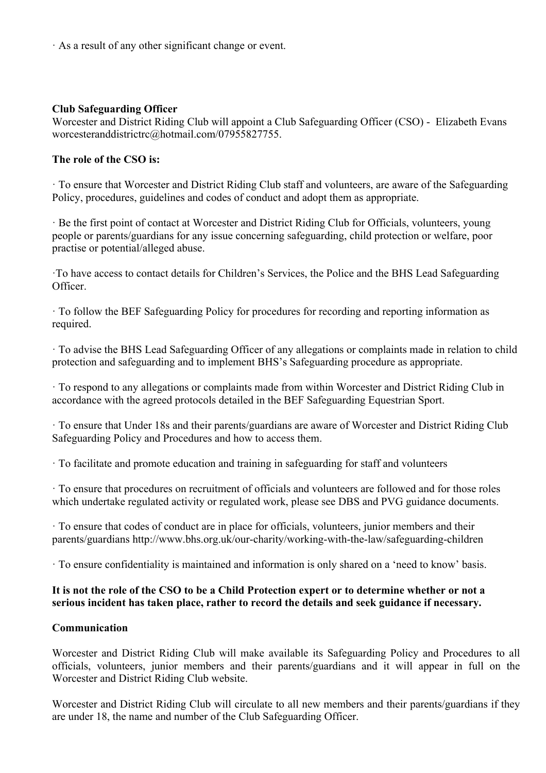· As a result of any other significant change or event.

#### **Club Safeguarding Officer**

Worcester and District Riding Club will appoint a Club Safeguarding Officer (CSO) - Elizabeth Evans worcesteranddistrictrc@hotmail.com/07955827755.

#### **The role of the CSO is:**

· To ensure that Worcester and District Riding Club staff and volunteers, are aware of the Safeguarding Policy, procedures, guidelines and codes of conduct and adopt them as appropriate.

· Be the first point of contact at Worcester and District Riding Club for Officials, volunteers, young people or parents/guardians for any issue concerning safeguarding, child protection or welfare, poor practise or potential/alleged abuse.

·To have access to contact details for Children's Services, the Police and the BHS Lead Safeguarding Officer.

· To follow the BEF Safeguarding Policy for procedures for recording and reporting information as required.

· To advise the BHS Lead Safeguarding Officer of any allegations or complaints made in relation to child protection and safeguarding and to implement BHS's Safeguarding procedure as appropriate.

· To respond to any allegations or complaints made from within Worcester and District Riding Club in accordance with the agreed protocols detailed in the BEF Safeguarding Equestrian Sport.

· To ensure that Under 18s and their parents/guardians are aware of Worcester and District Riding Club Safeguarding Policy and Procedures and how to access them.

· To facilitate and promote education and training in safeguarding for staff and volunteers

· To ensure that procedures on recruitment of officials and volunteers are followed and for those roles which undertake regulated activity or regulated work, please see DBS and PVG guidance documents.

· To ensure that codes of conduct are in place for officials, volunteers, junior members and their parents/guardians http://www.bhs.org.uk/our-charity/working-with-the-law/safeguarding-children

· To ensure confidentiality is maintained and information is only shared on a 'need to know' basis.

#### **It is not the role of the CSO to be a Child Protection expert or to determine whether or not a serious incident has taken place, rather to record the details and seek guidance if necessary.**

#### **Communication**

Worcester and District Riding Club will make available its Safeguarding Policy and Procedures to all officials, volunteers, junior members and their parents/guardians and it will appear in full on the Worcester and District Riding Club website.

Worcester and District Riding Club will circulate to all new members and their parents/guardians if they are under 18, the name and number of the Club Safeguarding Officer.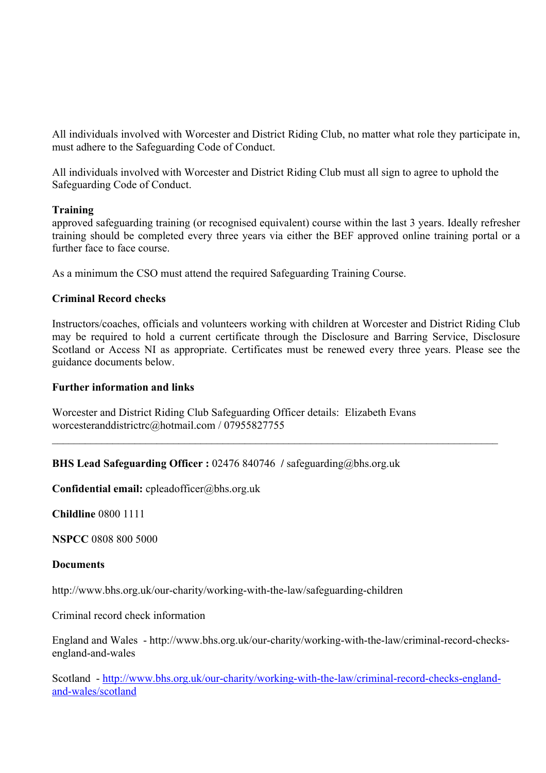All individuals involved with Worcester and District Riding Club, no matter what role they participate in, must adhere to the Safeguarding Code of Conduct.

All individuals involved with Worcester and District Riding Club must all sign to agree to uphold the Safeguarding Code of Conduct.

#### **Training**

approved safeguarding training (or recognised equivalent) course within the last 3 years. Ideally refresher training should be completed every three years via either the BEF approved online training portal or a further face to face course.

As a minimum the CSO must attend the required Safeguarding Training Course.

#### **Criminal Record checks**

Instructors/coaches, officials and volunteers working with children at Worcester and District Riding Club may be required to hold a current certificate through the Disclosure and Barring Service, Disclosure Scotland or Access NI as appropriate. Certificates must be renewed every three years. Please see the guidance documents below.

 $\_$  , and the contribution of the contribution of the contribution of the contribution of  $\mathcal{L}_\text{max}$ 

#### **Further information and links**

Worcester and District Riding Club Safeguarding Officer details: Elizabeth Evans worcesteranddistrictrc@hotmail.com / 07955827755

#### **BHS Lead Safeguarding Officer :** 02476 840746 **/** safeguarding@bhs.org.uk

**Confidential email:** cpleadofficer@bhs.org.uk

**Childline** 0800 1111

**NSPCC** 0808 800 5000

#### **Documents**

http://www.bhs.org.uk/our-charity/working-with-the-law/safeguarding-children

Criminal record check information

England and Wales - http://www.bhs.org.uk/our-charity/working-with-the-law/criminal-record-checksengland-and-wales

Scotland - http://www.bhs.org.uk/our-charity/working-with-the-law/criminal-record-checks-englandand-wales/scotland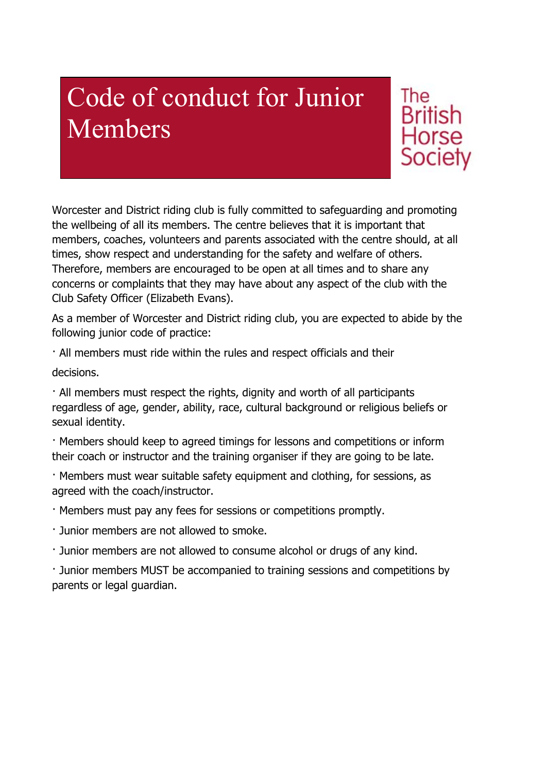### Code of conduct for Junior Members

The **British Horse** Societv

Worcester and District riding club is fully committed to safeguarding and promoting the wellbeing of all its members. The centre believes that it is important that members, coaches, volunteers and parents associated with the centre should, at all times, show respect and understanding for the safety and welfare of others. Therefore, members are encouraged to be open at all times and to share any concerns or complaints that they may have about any aspect of the club with the Club Safety Officer (Elizabeth Evans).

As a member of Worcester and District riding club, you are expected to abide by the following junior code of practice:

· All members must ride within the rules and respect officials and their

decisions.

· All members must respect the rights, dignity and worth of all participants regardless of age, gender, ability, race, cultural background or religious beliefs or sexual identity.

· Members should keep to agreed timings for lessons and competitions or inform their coach or instructor and the training organiser if they are going to be late.

· Members must wear suitable safety equipment and clothing, for sessions, as agreed with the coach/instructor.

· Members must pay any fees for sessions or competitions promptly.

· Junior members are not allowed to smoke.

· Junior members are not allowed to consume alcohol or drugs of any kind.

· Junior members MUST be accompanied to training sessions and competitions by parents or legal guardian.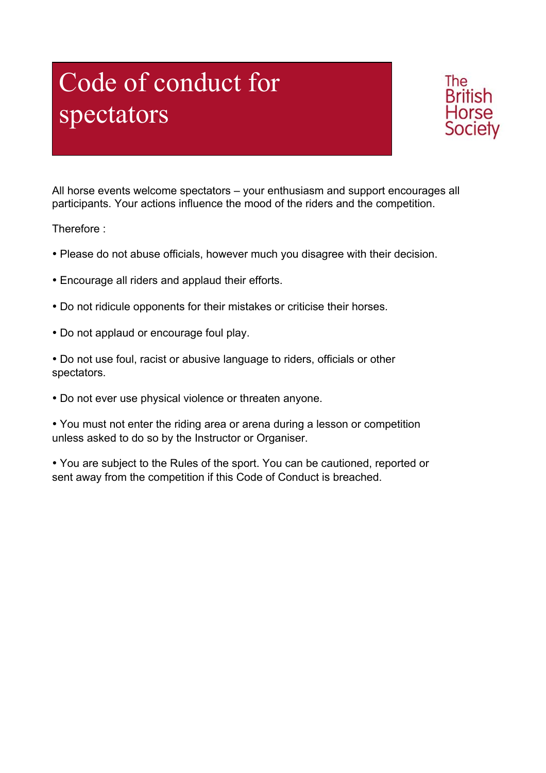## Code of conduct for spectators



All horse events welcome spectators – your enthusiasm and support encourages all participants. Your actions influence the mood of the riders and the competition.

Therefore :

- Please do not abuse officials, however much you disagree with their decision.
- Encourage all riders and applaud their efforts.
- Do not ridicule opponents for their mistakes or criticise their horses.
- Do not applaud or encourage foul play.
- Do not use foul, racist or abusive language to riders, officials or other spectators.
- Do not ever use physical violence or threaten anyone.

• You must not enter the riding area or arena during a lesson or competition unless asked to do so by the Instructor or Organiser.

• You are subject to the Rules of the sport. You can be cautioned, reported or sent away from the competition if this Code of Conduct is breached.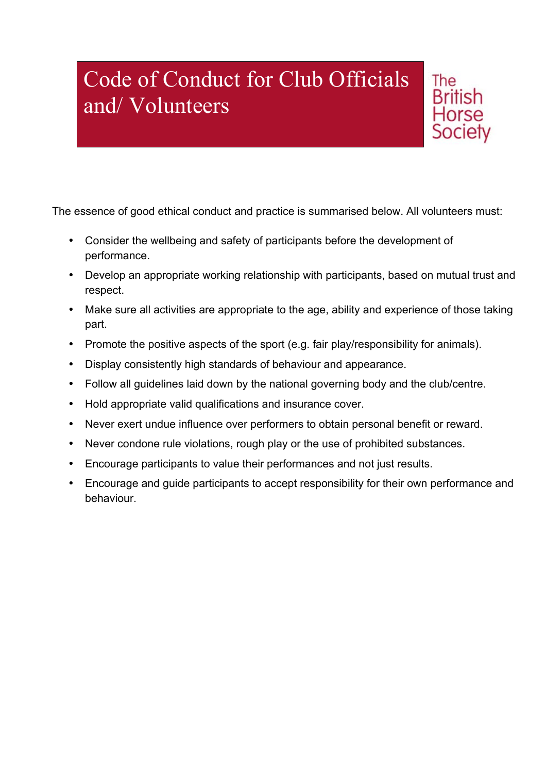### Code of Conduct for Club Officials and/ Volunteers



The essence of good ethical conduct and practice is summarised below. All volunteers must:

- Consider the wellbeing and safety of participants before the development of performance.
- Develop an appropriate working relationship with participants, based on mutual trust and respect.
- Make sure all activities are appropriate to the age, ability and experience of those taking part.
- Promote the positive aspects of the sport (e.g. fair play/responsibility for animals).
- Display consistently high standards of behaviour and appearance.
- Follow all guidelines laid down by the national governing body and the club/centre.
- Hold appropriate valid qualifications and insurance cover.
- Never exert undue influence over performers to obtain personal benefit or reward.
- Never condone rule violations, rough play or the use of prohibited substances.
- Encourage participants to value their performances and not just results.
- Encourage and guide participants to accept responsibility for their own performance and behaviour.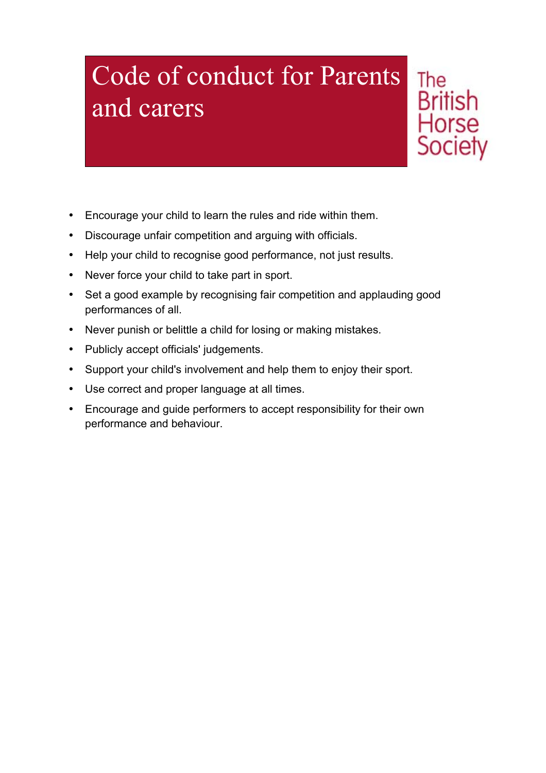### Code of conduct for Parents and carers

**British** Horse **Society** 

The

- Encourage your child to learn the rules and ride within them.
- Discourage unfair competition and arguing with officials.
- Help your child to recognise good performance, not just results.
- Never force your child to take part in sport.
- Set a good example by recognising fair competition and applauding good performances of all.
- Never punish or belittle a child for losing or making mistakes.
- Publicly accept officials' judgements.
- Support your child's involvement and help them to enjoy their sport.
- Use correct and proper language at all times.
- Encourage and guide performers to accept responsibility for their own performance and behaviour.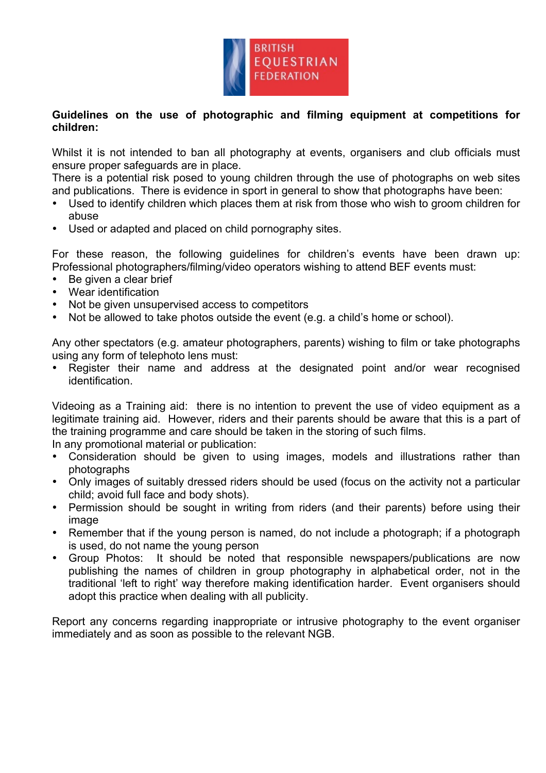

#### **Guidelines on the use of photographic and filming equipment at competitions for children:**

Whilst it is not intended to ban all photography at events, organisers and club officials must ensure proper safeguards are in place.

There is a potential risk posed to young children through the use of photographs on web sites and publications. There is evidence in sport in general to show that photographs have been:

- Used to identify children which places them at risk from those who wish to groom children for abuse
- Used or adapted and placed on child pornography sites.

For these reason, the following guidelines for children's events have been drawn up: Professional photographers/filming/video operators wishing to attend BEF events must:

- Be given a clear brief
- Wear identification
- Not be given unsupervised access to competitors
- Not be allowed to take photos outside the event (e.g. a child's home or school).

Any other spectators (e.g. amateur photographers, parents) wishing to film or take photographs using any form of telephoto lens must:

• Register their name and address at the designated point and/or wear recognised identification.

Videoing as a Training aid: there is no intention to prevent the use of video equipment as a legitimate training aid. However, riders and their parents should be aware that this is a part of the training programme and care should be taken in the storing of such films.

In any promotional material or publication:

- Consideration should be given to using images, models and illustrations rather than photographs
- Only images of suitably dressed riders should be used (focus on the activity not a particular child; avoid full face and body shots).
- Permission should be sought in writing from riders (and their parents) before using their image
- Remember that if the young person is named, do not include a photograph; if a photograph is used, do not name the young person
- Group Photos: It should be noted that responsible newspapers/publications are now publishing the names of children in group photography in alphabetical order, not in the traditional 'left to right' way therefore making identification harder. Event organisers should adopt this practice when dealing with all publicity.

Report any concerns regarding inappropriate or intrusive photography to the event organiser immediately and as soon as possible to the relevant NGB.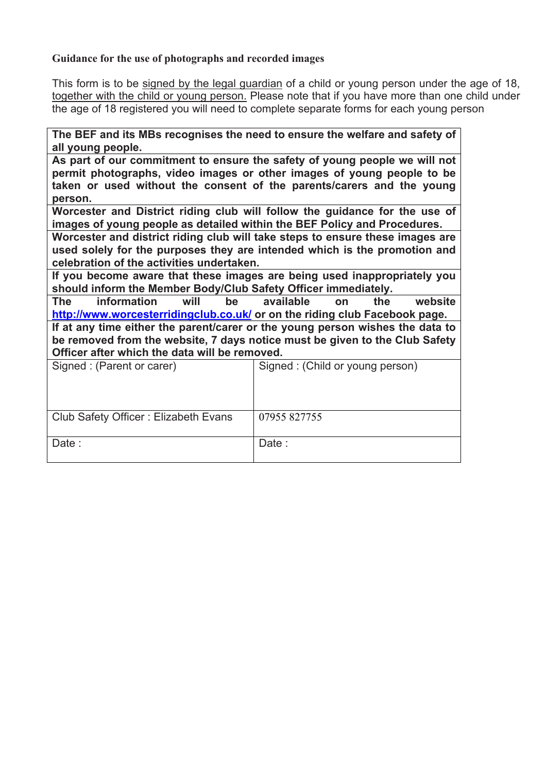#### **Guidance for the use of photographs and recorded images**

This form is to be signed by the legal guardian of a child or young person under the age of 18, together with the child or young person. Please note that if you have more than one child under the age of 18 registered you will need to complete separate forms for each young person

**The BEF and its MBs recognises the need to ensure the welfare and safety of all young people.** 

**As part of our commitment to ensure the safety of young people we will not permit photographs, video images or other images of young people to be taken or used without the consent of the parents/carers and the young person.**

**Worcester and District riding club will follow the guidance for the use of images of young people as detailed within the BEF Policy and Procedures.** 

**Worcester and district riding club will take steps to ensure these images are used solely for the purposes they are intended which is the promotion and celebration of the activities undertaken.**

**If you become aware that these images are being used inappropriately you should inform the Member Body/Club Safety Officer immediately.**

**The information will be available on the website http://www.worcesterridingclub.co.uk/ or on the riding club Facebook page.** 

**If at any time either the parent/carer or the young person wishes the data to be removed from the website, 7 days notice must be given to the Club Safety Officer after which the data will be removed.**

| Signed: (Parent or carer)            | Signed: (Child or young person) |
|--------------------------------------|---------------------------------|
| Club Safety Officer: Elizabeth Evans | 07955 827755                    |
| Date:                                | Date:                           |